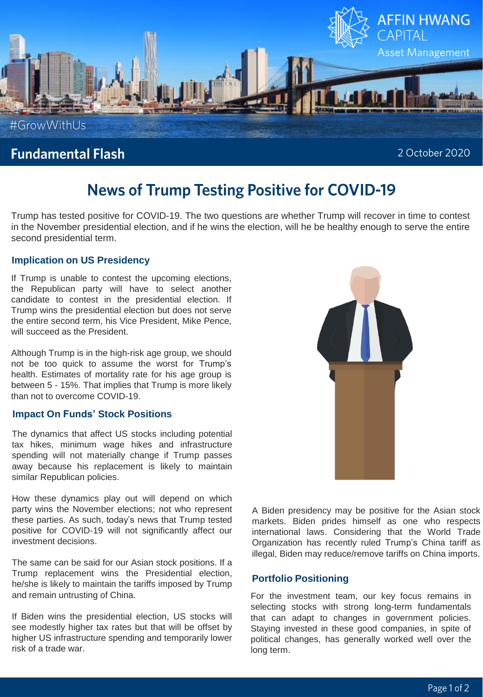

## **Fundamental Flash**

2 October 2020

# **News of Trump Testing Positive for COVID-19**

Trump has tested positive for COVID-19. The two questions are whether Trump will recover in time to contest in the November presidential election, and if he wins the election, will he be healthy enough to serve the entire second presidential term.

### **Implication on US Presidency**

If Trump is unable to contest the upcoming elections, the Republican party will have to select another candidate to contest in the presidential election. If Trump wins the presidential election but does not serve the entire second term, his Vice President, Mike Pence, will succeed as the President.

Although Trump is in the high-risk age group, we should not be too quick to assume the worst for Trump's health. Estimates of mortality rate for his age group is between 5 - 15%. That implies that Trump is more likely than not to overcome COVID-19.

### **Impact On Funds' Stock Positions**

The dynamics that affect US stocks including potential tax hikes, minimum wage hikes and infrastructure spending will not materially change if Trump passes away because his replacement is likely to maintain similar Republican policies.

How these dynamics play out will depend on which party wins the November elections; not who represent these parties. As such, today's news that Trump tested positive for COVID-19 will not significantly affect our investment decisions.

The same can be said for our Asian stock positions. If a Trump replacement wins the Presidential election, he/she is likely to maintain the tariffs imposed by Trump and remain untrusting of China.

If Biden wins the presidential election, US stocks will see modestly higher tax rates but that will be offset by higher US infrastructure spending and temporarily lower risk of a trade war.



A Biden presidency may be positive for the Asian stock markets. Biden prides himself as one who respects international laws. Considering that the World Trade Organization has recently ruled Trump's China tariff as illegal, Biden may reduce/remove tariffs on China imports.

#### **Portfolio Positioning**

For the investment team, our key focus remains in selecting stocks with strong long-term fundamentals that can adapt to changes in government policies. Staying invested in these good companies, in spite of political changes, has generally worked well over the long term.